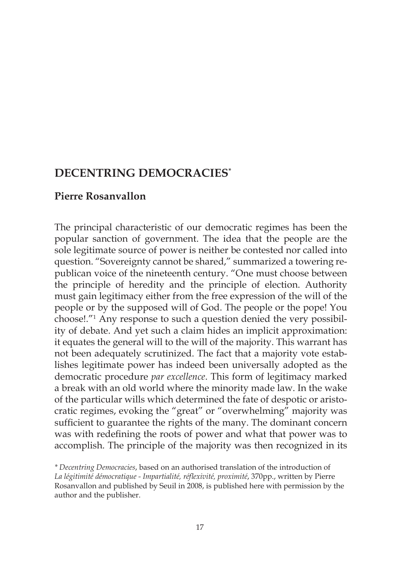# **DECENTRING DEMOCRACIES\***

## **Pierre Rosanvallon**

The principal characteristic of our democratic regimes has been the popular sanction of government. The idea that the people are the sole legitimate source of power is neither be contested nor called into question. "Sovereignty cannot be shared," summarized a towering republican voice of the nineteenth century. "One must choose between the principle of heredity and the principle of election. Authority must gain legitimacy either from the free expression of the will of the people or by the supposed will of God. The people or the pope! You choose!."1 Any response to such a question denied the very possibility of debate. And yet such a claim hides an implicit approximation: it equates the general will to the will of the majority. This warrant has not been adequately scrutinized. The fact that a majority vote establishes legitimate power has indeed been universally adopted as the democratic procedure *par excellence*. This form of legitimacy marked a break with an old world where the minority made law. In the wake of the particular wills which determined the fate of despotic or aristocratic regimes, evoking the "great" or "overwhelming" majority was sufficient to guarantee the rights of the many. The dominant concern was with redefining the roots of power and what that power was to accomplish. The principle of the majority was then recognized in its

*\* Decentring Democracies*, based on an authorised translation of the introduction of *La légitimité démocratique - Impartialité, réflexivité, proximité*, 370pp., written by Pierre Rosanvallon and published by Seuil in 2008, is published here with permission by the author and the publisher.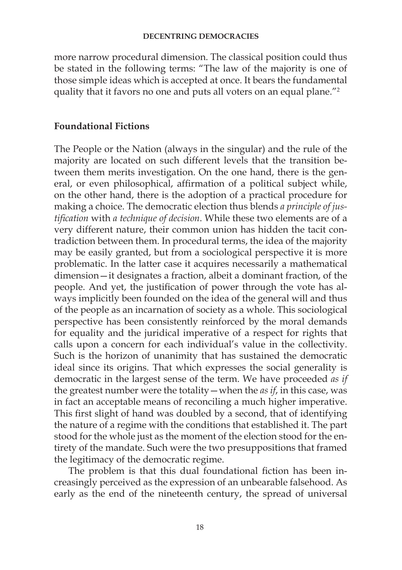more narrow procedural dimension. The classical position could thus be stated in the following terms: "The law of the majority is one of those simple ideas which is accepted at once. It bears the fundamental quality that it favors no one and puts all voters on an equal plane."2

### **Foundational Fictions**

The People or the Nation (always in the singular) and the rule of the majority are located on such different levels that the transition between them merits investigation. On the one hand, there is the general, or even philosophical, affirmation of a political subject while, on the other hand, there is the adoption of a practical procedure for making a choice. The democratic election thus blends *a principle of justification* with *a technique of decision*. While these two elements are of a very different nature, their common union has hidden the tacit contradiction between them. In procedural terms, the idea of the majority may be easily granted, but from a sociological perspective it is more problematic. In the latter case it acquires necessarily a mathematical dimension—it designates a fraction, albeit a dominant fraction, of the people. And yet, the justification of power through the vote has always implicitly been founded on the idea of the general will and thus of the people as an incarnation of society as a whole. This sociological perspective has been consistently reinforced by the moral demands for equality and the juridical imperative of a respect for rights that calls upon a concern for each individual's value in the collectivity. Such is the horizon of unanimity that has sustained the democratic ideal since its origins. That which expresses the social generality is democratic in the largest sense of the term. We have proceeded *as if*  the greatest number were the totality—when the *as if*, in this case, was in fact an acceptable means of reconciling a much higher imperative. This first slight of hand was doubled by a second, that of identifying the nature of a regime with the conditions that established it. The part stood for the whole just as the moment of the election stood for the entirety of the mandate. Such were the two presuppositions that framed the legitimacy of the democratic regime.

The problem is that this dual foundational fiction has been increasingly perceived as the expression of an unbearable falsehood. As early as the end of the nineteenth century, the spread of universal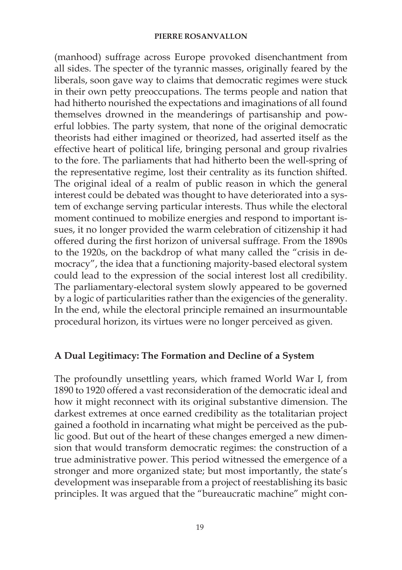(manhood) suffrage across Europe provoked disenchantment from all sides. The specter of the tyrannic masses, originally feared by the liberals, soon gave way to claims that democratic regimes were stuck in their own petty preoccupations. The terms people and nation that had hitherto nourished the expectations and imaginations of all found themselves drowned in the meanderings of partisanship and powerful lobbies. The party system, that none of the original democratic theorists had either imagined or theorized, had asserted itself as the effective heart of political life, bringing personal and group rivalries to the fore. The parliaments that had hitherto been the well-spring of the representative regime, lost their centrality as its function shifted. The original ideal of a realm of public reason in which the general interest could be debated was thought to have deteriorated into a system of exchange serving particular interests. Thus while the electoral moment continued to mobilize energies and respond to important issues, it no longer provided the warm celebration of citizenship it had offered during the first horizon of universal suffrage. From the 1890s to the 1920s, on the backdrop of what many called the "crisis in democracy", the idea that a functioning majority-based electoral system could lead to the expression of the social interest lost all credibility. The parliamentary-electoral system slowly appeared to be governed by a logic of particularities rather than the exigencies of the generality. In the end, while the electoral principle remained an insurmountable procedural horizon, its virtues were no longer perceived as given.

### **A Dual Legitimacy: The Formation and Decline of a System**

The profoundly unsettling years, which framed World War I, from 1890 to 1920 offered a vast reconsideration of the democratic ideal and how it might reconnect with its original substantive dimension. The darkest extremes at once earned credibility as the totalitarian project gained a foothold in incarnating what might be perceived as the public good. But out of the heart of these changes emerged a new dimension that would transform democratic regimes: the construction of a true administrative power. This period witnessed the emergence of a stronger and more organized state; but most importantly, the state's development was inseparable from a project of reestablishing its basic principles. It was argued that the "bureaucratic machine" might con-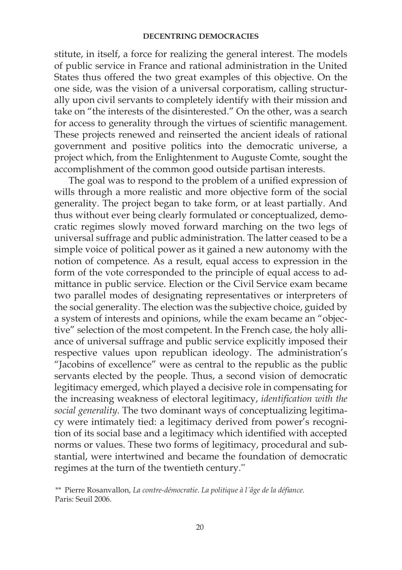stitute, in itself, a force for realizing the general interest. The models of public service in France and rational administration in the United States thus offered the two great examples of this objective. On the one side, was the vision of a universal corporatism, calling structurally upon civil servants to completely identify with their mission and take on "the interests of the disinterested." On the other, was a search for access to generality through the virtues of scientific management. These projects renewed and reinserted the ancient ideals of rational government and positive politics into the democratic universe, a project which, from the Enlightenment to Auguste Comte, sought the accomplishment of the common good outside partisan interests.

The goal was to respond to the problem of a unified expression of wills through a more realistic and more objective form of the social generality. The project began to take form, or at least partially. And thus without ever being clearly formulated or conceptualized, democratic regimes slowly moved forward marching on the two legs of universal suffrage and public administration. The latter ceased to be a simple voice of political power as it gained a new autonomy with the notion of competence. As a result, equal access to expression in the form of the vote corresponded to the principle of equal access to admittance in public service. Election or the Civil Service exam became two parallel modes of designating representatives or interpreters of the social generality. The election was the subjective choice, guided by a system of interests and opinions, while the exam became an "objective" selection of the most competent. In the French case, the holy alliance of universal suffrage and public service explicitly imposed their respective values upon republican ideology. The administration's "Jacobins of excellence" were as central to the republic as the public servants elected by the people. Thus, a second vision of democratic legitimacy emerged, which played a decisive role in compensating for the increasing weakness of electoral legitimacy, *identification with the social generality*. The two dominant ways of conceptualizing legitimacy were intimately tied: a legitimacy derived from power's recognition of its social base and a legitimacy which identified with accepted norms or values. These two forms of legitimacy, procedural and substantial, were intertwined and became the foundation of democratic regimes at the turn of the twentieth century.\*\*

*\*\** Pierre Rosanvallon, *La contre-démocratie*. *La politique à l´âge de la défiance.* Paris: Seuil 2006.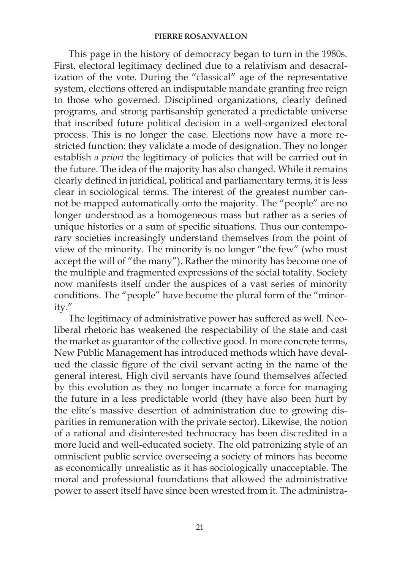This page in the history of democracy began to turn in the 1980s. First, electoral legitimacy declined due to a relativism and desacralization of the vote. During the "classical" age of the representative system, elections offered an indisputable mandate granting free reign to those who governed. Disciplined organizations, clearly defined programs, and strong partisanship generated a predictable universe that inscribed future political decision in a well-organized electoral process. This is no longer the case. Elections now have a more restricted function: they validate a mode of designation. They no longer establish *a priori* the legitimacy of policies that will be carried out in the future. The idea of the majority has also changed. While it remains clearly defined in juridical, political and parliamentary terms, it is less clear in sociological terms. The interest of the greatest number cannot be mapped automatically onto the majority. The "people" are no longer understood as a homogeneous mass but rather as a series of unique histories or a sum of specific situations. Thus our contemporary societies increasingly understand themselves from the point of view of the minority. The minority is no longer "the few" (who must accept the will of "the many"). Rather the minority has become one of the multiple and fragmented expressions of the social totality. Society now manifests itself under the auspices of a vast series of minority conditions. The "people" have become the plural form of the "minority."

The legitimacy of administrative power has suffered as well. Neoliberal rhetoric has weakened the respectability of the state and cast the market as guarantor of the collective good. In more concrete terms, New Public Management has introduced methods which have devalued the classic figure of the civil servant acting in the name of the general interest. High civil servants have found themselves affected by this evolution as they no longer incarnate a force for managing the future in a less predictable world (they have also been hurt by the elite's massive desertion of administration due to growing disparities in remuneration with the private sector). Likewise, the notion of a rational and disinterested technocracy has been discredited in a more lucid and well-educated society. The old patronizing style of an omniscient public service overseeing a society of minors has become as economically unrealistic as it has sociologically unacceptable. The moral and professional foundations that allowed the administrative power to assert itself have since been wrested from it. The administra-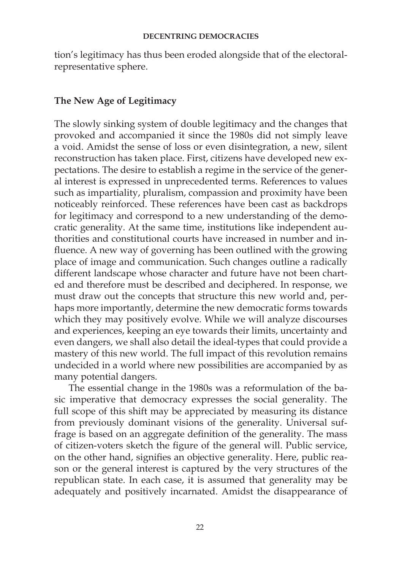tion's legitimacy has thus been eroded alongside that of the electoralrepresentative sphere.

### **The New Age of Legitimacy**

The slowly sinking system of double legitimacy and the changes that provoked and accompanied it since the 1980s did not simply leave a void. Amidst the sense of loss or even disintegration, a new, silent reconstruction has taken place. First, citizens have developed new expectations. The desire to establish a regime in the service of the general interest is expressed in unprecedented terms. References to values such as impartiality, pluralism, compassion and proximity have been noticeably reinforced. These references have been cast as backdrops for legitimacy and correspond to a new understanding of the democratic generality. At the same time, institutions like independent authorities and constitutional courts have increased in number and influence. A new way of governing has been outlined with the growing place of image and communication. Such changes outline a radically different landscape whose character and future have not been charted and therefore must be described and deciphered. In response, we must draw out the concepts that structure this new world and, perhaps more importantly, determine the new democratic forms towards which they may positively evolve. While we will analyze discourses and experiences, keeping an eye towards their limits, uncertainty and even dangers, we shall also detail the ideal-types that could provide a mastery of this new world. The full impact of this revolution remains undecided in a world where new possibilities are accompanied by as many potential dangers.

The essential change in the 1980s was a reformulation of the basic imperative that democracy expresses the social generality. The full scope of this shift may be appreciated by measuring its distance from previously dominant visions of the generality. Universal suffrage is based on an aggregate definition of the generality. The mass of citizen-voters sketch the figure of the general will. Public service, on the other hand, signifies an objective generality. Here, public reason or the general interest is captured by the very structures of the republican state. In each case, it is assumed that generality may be adequately and positively incarnated. Amidst the disappearance of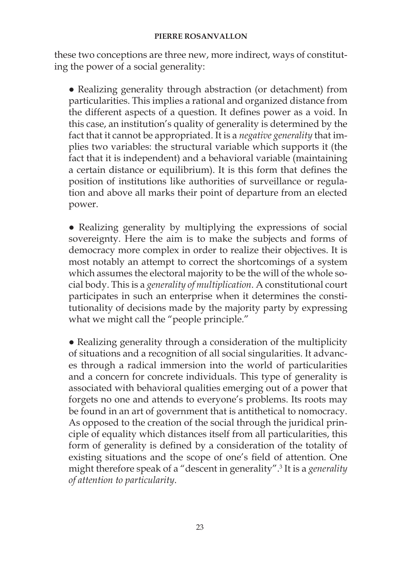these two conceptions are three new, more indirect, ways of constituting the power of a social generality:

● Realizing generality through abstraction (or detachment) from particularities. This implies a rational and organized distance from the different aspects of a question. It defines power as a void. In this case, an institution's quality of generality is determined by the fact that it cannot be appropriated. It is a *negative generality* that implies two variables: the structural variable which supports it (the fact that it is independent) and a behavioral variable (maintaining a certain distance or equilibrium). It is this form that defines the position of institutions like authorities of surveillance or regulation and above all marks their point of departure from an elected power.

● Realizing generality by multiplying the expressions of social sovereignty. Here the aim is to make the subjects and forms of democracy more complex in order to realize their objectives. It is most notably an attempt to correct the shortcomings of a system which assumes the electoral majority to be the will of the whole social body. This is a *generality of multiplication*. A constitutional court participates in such an enterprise when it determines the constitutionality of decisions made by the majority party by expressing what we might call the "people principle."

• Realizing generality through a consideration of the multiplicity of situations and a recognition of all social singularities. It advances through a radical immersion into the world of particularities and a concern for concrete individuals. This type of generality is associated with behavioral qualities emerging out of a power that forgets no one and attends to everyone's problems. Its roots may be found in an art of government that is antithetical to nomocracy. As opposed to the creation of the social through the juridical principle of equality which distances itself from all particularities, this form of generality is defined by a consideration of the totality of existing situations and the scope of one's field of attention. One might therefore speak of a "descent in generality".3 It is a *generality of attention to particularity*.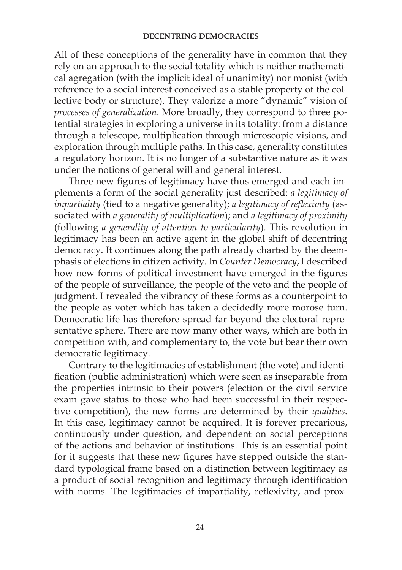All of these conceptions of the generality have in common that they rely on an approach to the social totality which is neither mathematical agregation (with the implicit ideal of unanimity) nor monist (with reference to a social interest conceived as a stable property of the collective body or structure). They valorize a more "dynamic" vision of *processes of generalization*. More broadly, they correspond to three potential strategies in exploring a universe in its totality: from a distance through a telescope, multiplication through microscopic visions, and exploration through multiple paths. In this case, generality constitutes a regulatory horizon. It is no longer of a substantive nature as it was under the notions of general will and general interest.

Three new figures of legitimacy have thus emerged and each implements a form of the social generality just described: *a legitimacy of impartiality* (tied to a negative generality); *a legitimacy of reflexivity* (associated with *a generality of multiplication*); and *a legitimacy of proximity*  (following *a generality of attention to particularity*). This revolution in legitimacy has been an active agent in the global shift of decentring democracy. It continues along the path already charted by the deemphasis of elections in citizen activity. In *Counter Democracy*, I described how new forms of political investment have emerged in the figures of the people of surveillance, the people of the veto and the people of judgment. I revealed the vibrancy of these forms as a counterpoint to the people as voter which has taken a decidedly more morose turn. Democratic life has therefore spread far beyond the electoral representative sphere. There are now many other ways, which are both in competition with, and complementary to, the vote but bear their own democratic legitimacy.

Contrary to the legitimacies of establishment (the vote) and identification (public administration) which were seen as inseparable from the properties intrinsic to their powers (election or the civil service exam gave status to those who had been successful in their respective competition), the new forms are determined by their *qualities*. In this case, legitimacy cannot be acquired. It is forever precarious, continuously under question, and dependent on social perceptions of the actions and behavior of institutions. This is an essential point for it suggests that these new figures have stepped outside the standard typological frame based on a distinction between legitimacy as a product of social recognition and legitimacy through identification with norms. The legitimacies of impartiality, reflexivity, and prox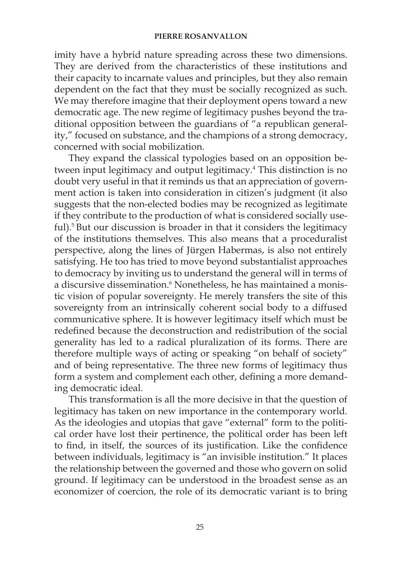imity have a hybrid nature spreading across these two dimensions. They are derived from the characteristics of these institutions and their capacity to incarnate values and principles, but they also remain dependent on the fact that they must be socially recognized as such. We may therefore imagine that their deployment opens toward a new democratic age. The new regime of legitimacy pushes beyond the traditional opposition between the guardians of "a republican generality," focused on substance, and the champions of a strong democracy, concerned with social mobilization.

They expand the classical typologies based on an opposition between input legitimacy and output legitimacy.4 This distinction is no doubt very useful in that it reminds us that an appreciation of government action is taken into consideration in citizen's judgment (it also suggests that the non-elected bodies may be recognized as legitimate if they contribute to the production of what is considered socially useful).<sup>5</sup> But our discussion is broader in that it considers the legitimacy of the institutions themselves. This also means that a proceduralist perspective, along the lines of Jürgen Habermas, is also not entirely satisfying. He too has tried to move beyond substantialist approaches to democracy by inviting us to understand the general will in terms of a discursive dissemination.<sup>6</sup> Nonetheless*,* he has maintained a monistic vision of popular sovereignty. He merely transfers the site of this sovereignty from an intrinsically coherent social body to a diffused communicative sphere. It is however legitimacy itself which must be redefined because the deconstruction and redistribution of the social generality has led to a radical pluralization of its forms. There are therefore multiple ways of acting or speaking "on behalf of society" and of being representative. The three new forms of legitimacy thus form a system and complement each other, defining a more demanding democratic ideal.

This transformation is all the more decisive in that the question of legitimacy has taken on new importance in the contemporary world. As the ideologies and utopias that gave "external" form to the political order have lost their pertinence, the political order has been left to find, in itself, the sources of its justification. Like the confidence between individuals, legitimacy is "an invisible institution." It places the relationship between the governed and those who govern on solid ground. If legitimacy can be understood in the broadest sense as an economizer of coercion, the role of its democratic variant is to bring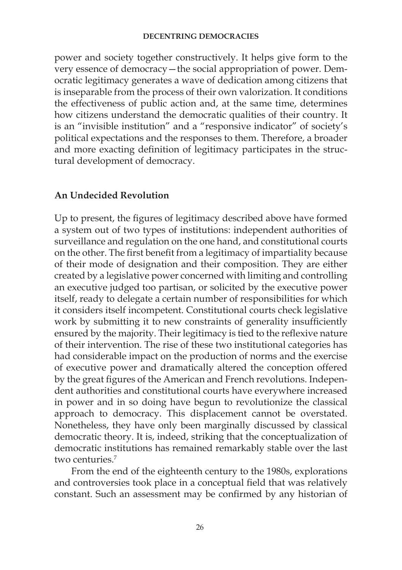#### **DECENTRING DEMOCRACIES**

power and society together constructively. It helps give form to the very essence of democracy—the social appropriation of power. Democratic legitimacy generates a wave of dedication among citizens that is inseparable from the process of their own valorization. It conditions the effectiveness of public action and, at the same time, determines how citizens understand the democratic qualities of their country. It is an "invisible institution" and a "responsive indicator" of society's political expectations and the responses to them. Therefore, a broader and more exacting definition of legitimacy participates in the structural development of democracy.

### **An Undecided Revolution**

Up to present, the figures of legitimacy described above have formed a system out of two types of institutions: independent authorities of surveillance and regulation on the one hand, and constitutional courts on the other. The first benefit from a legitimacy of impartiality because of their mode of designation and their composition. They are either created by a legislative power concerned with limiting and controlling an executive judged too partisan, or solicited by the executive power itself, ready to delegate a certain number of responsibilities for which it considers itself incompetent. Constitutional courts check legislative work by submitting it to new constraints of generality insufficiently ensured by the majority. Their legitimacy is tied to the reflexive nature of their intervention. The rise of these two institutional categories has had considerable impact on the production of norms and the exercise of executive power and dramatically altered the conception offered by the great figures of the American and French revolutions. Independent authorities and constitutional courts have everywhere increased in power and in so doing have begun to revolutionize the classical approach to democracy. This displacement cannot be overstated. Nonetheless, they have only been marginally discussed by classical democratic theory. It is, indeed, striking that the conceptualization of democratic institutions has remained remarkably stable over the last two centuries.<sup>7</sup>

 From the end of the eighteenth century to the 1980s, explorations and controversies took place in a conceptual field that was relatively constant. Such an assessment may be confirmed by any historian of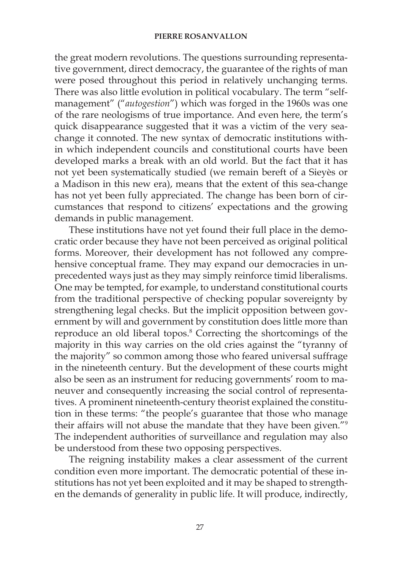the great modern revolutions. The questions surrounding representative government, direct democracy, the guarantee of the rights of man were posed throughout this period in relatively unchanging terms. There was also little evolution in political vocabulary. The term "selfmanagement" ("*autogestion*") which was forged in the 1960s was one of the rare neologisms of true importance. And even here, the term's quick disappearance suggested that it was a victim of the very seachange it connoted. The new syntax of democratic institutions within which independent councils and constitutional courts have been developed marks a break with an old world. But the fact that it has not yet been systematically studied (we remain bereft of a Sieyès or a Madison in this new era), means that the extent of this sea-change has not yet been fully appreciated. The change has been born of circumstances that respond to citizens' expectations and the growing demands in public management.

These institutions have not yet found their full place in the democratic order because they have not been perceived as original political forms. Moreover, their development has not followed any comprehensive conceptual frame. They may expand our democracies in unprecedented ways just as they may simply reinforce timid liberalisms. One may be tempted, for example, to understand constitutional courts from the traditional perspective of checking popular sovereignty by strengthening legal checks. But the implicit opposition between government by will and government by constitution does little more than reproduce an old liberal topos.<sup>8</sup> Correcting the shortcomings of the majority in this way carries on the old cries against the "tyranny of the majority" so common among those who feared universal suffrage in the nineteenth century. But the development of these courts might also be seen as an instrument for reducing governments' room to maneuver and consequently increasing the social control of representatives. A prominent nineteenth-century theorist explained the constitution in these terms: "the people's guarantee that those who manage their affairs will not abuse the mandate that they have been given."9 The independent authorities of surveillance and regulation may also be understood from these two opposing perspectives.

The reigning instability makes a clear assessment of the current condition even more important. The democratic potential of these institutions has not yet been exploited and it may be shaped to strengthen the demands of generality in public life. It will produce, indirectly,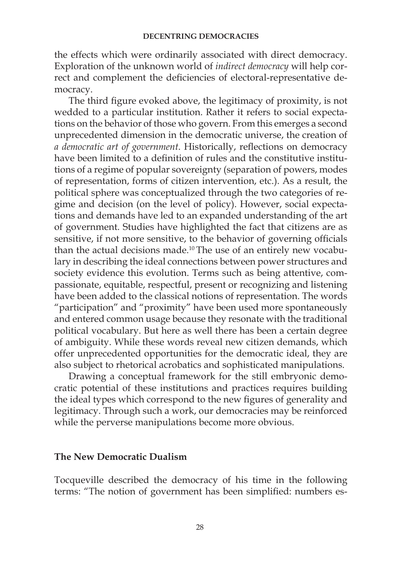the effects which were ordinarily associated with direct democracy. Exploration of the unknown world of *indirect democracy* will help correct and complement the deficiencies of electoral-representative democracy.

The third figure evoked above, the legitimacy of proximity, is not wedded to a particular institution. Rather it refers to social expectations on the behavior of those who govern. From this emerges a second unprecedented dimension in the democratic universe, the creation of *a democratic art of government*. Historically, reflections on democracy have been limited to a definition of rules and the constitutive institutions of a regime of popular sovereignty (separation of powers, modes of representation, forms of citizen intervention, etc.). As a result, the political sphere was conceptualized through the two categories of regime and decision (on the level of policy). However, social expectations and demands have led to an expanded understanding of the art of government. Studies have highlighted the fact that citizens are as sensitive, if not more sensitive, to the behavior of governing officials than the actual decisions made.10 The use of an entirely new vocabulary in describing the ideal connections between power structures and society evidence this evolution. Terms such as being attentive, compassionate, equitable, respectful, present or recognizing and listening have been added to the classical notions of representation. The words "participation" and "proximity" have been used more spontaneously and entered common usage because they resonate with the traditional political vocabulary. But here as well there has been a certain degree of ambiguity. While these words reveal new citizen demands, which offer unprecedented opportunities for the democratic ideal, they are also subject to rhetorical acrobatics and sophisticated manipulations.

Drawing a conceptual framework for the still embryonic democratic potential of these institutions and practices requires building the ideal types which correspond to the new figures of generality and legitimacy. Through such a work, our democracies may be reinforced while the perverse manipulations become more obvious.

### **The New Democratic Dualism**

Tocqueville described the democracy of his time in the following terms: "The notion of government has been simplified: numbers es-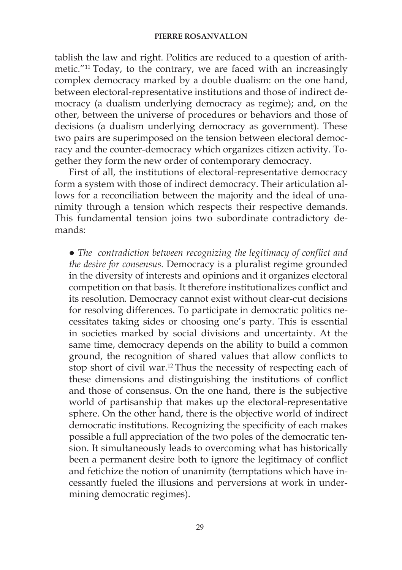tablish the law and right. Politics are reduced to a question of arithmetic."11 Today, to the contrary, we are faced with an increasingly complex democracy marked by a double dualism: on the one hand, between electoral-representative institutions and those of indirect democracy (a dualism underlying democracy as regime); and, on the other, between the universe of procedures or behaviors and those of decisions (a dualism underlying democracy as government). These two pairs are superimposed on the tension between electoral democracy and the counter-democracy which organizes citizen activity. Together they form the new order of contemporary democracy.

First of all, the institutions of electoral-representative democracy form a system with those of indirect democracy. Their articulation allows for a reconciliation between the majority and the ideal of unanimity through a tension which respects their respective demands. This fundamental tension joins two subordinate contradictory demands:

● *The contradiction between recognizing the legitimacy of conflict and the desire for consensus.* Democracy is a pluralist regime grounded in the diversity of interests and opinions and it organizes electoral competition on that basis. It therefore institutionalizes conflict and its resolution. Democracy cannot exist without clear-cut decisions for resolving differences. To participate in democratic politics necessitates taking sides or choosing one's party. This is essential in societies marked by social divisions and uncertainty. At the same time, democracy depends on the ability to build a common ground, the recognition of shared values that allow conflicts to stop short of civil war.12 Thus the necessity of respecting each of these dimensions and distinguishing the institutions of conflict and those of consensus. On the one hand, there is the subjective world of partisanship that makes up the electoral-representative sphere. On the other hand, there is the objective world of indirect democratic institutions. Recognizing the specificity of each makes possible a full appreciation of the two poles of the democratic tension. It simultaneously leads to overcoming what has historically been a permanent desire both to ignore the legitimacy of conflict and fetichize the notion of unanimity (temptations which have incessantly fueled the illusions and perversions at work in undermining democratic regimes).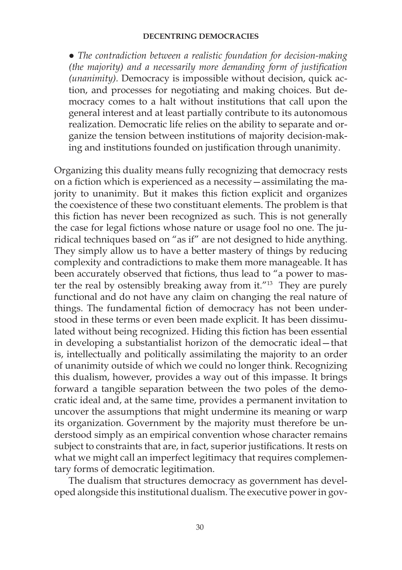#### **DECENTRING DEMOCRACIES**

● *The contradiction between a realistic foundation for decision-making (the majority) and a necessarily more demanding form of justification (unanimity).* Democracy is impossible without decision, quick action, and processes for negotiating and making choices. But democracy comes to a halt without institutions that call upon the general interest and at least partially contribute to its autonomous realization. Democratic life relies on the ability to separate and organize the tension between institutions of majority decision-making and institutions founded on justification through unanimity.

Organizing this duality means fully recognizing that democracy rests on a fiction which is experienced as a necessity—assimilating the majority to unanimity. But it makes this fiction explicit and organizes the coexistence of these two constituant elements. The problem is that this fiction has never been recognized as such. This is not generally the case for legal fictions whose nature or usage fool no one. The juridical techniques based on "as if" are not designed to hide anything. They simply allow us to have a better mastery of things by reducing complexity and contradictions to make them more manageable. It has been accurately observed that fictions, thus lead to "a power to master the real by ostensibly breaking away from it."13 They are purely functional and do not have any claim on changing the real nature of things. The fundamental fiction of democracy has not been understood in these terms or even been made explicit. It has been dissimulated without being recognized. Hiding this fiction has been essential in developing a substantialist horizon of the democratic ideal—that is, intellectually and politically assimilating the majority to an order of unanimity outside of which we could no longer think. Recognizing this dualism, however, provides a way out of this impasse. It brings forward a tangible separation between the two poles of the democratic ideal and, at the same time, provides a permanent invitation to uncover the assumptions that might undermine its meaning or warp its organization. Government by the majority must therefore be understood simply as an empirical convention whose character remains subject to constraints that are, in fact, superior justifications. It rests on what we might call an imperfect legitimacy that requires complementary forms of democratic legitimation.

The dualism that structures democracy as government has developed alongside this institutional dualism. The executive power in gov-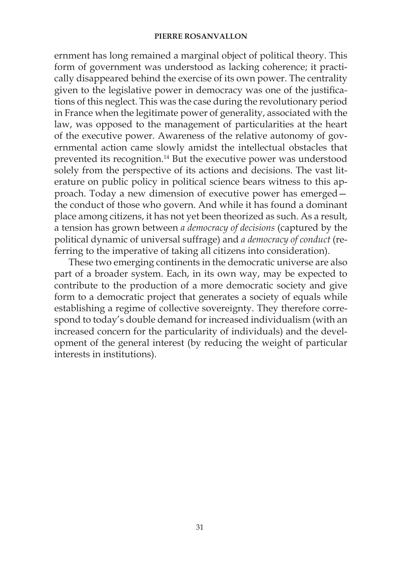ernment has long remained a marginal object of political theory. This form of government was understood as lacking coherence; it practically disappeared behind the exercise of its own power. The centrality given to the legislative power in democracy was one of the justifications of this neglect. This was the case during the revolutionary period in France when the legitimate power of generality, associated with the law, was opposed to the management of particularities at the heart of the executive power. Awareness of the relative autonomy of governmental action came slowly amidst the intellectual obstacles that prevented its recognition.14 But the executive power was understood solely from the perspective of its actions and decisions. The vast literature on public policy in political science bears witness to this approach. Today a new dimension of executive power has emerged the conduct of those who govern. And while it has found a dominant place among citizens, it has not yet been theorized as such. As a result, a tension has grown between *a democracy of decisions* (captured by the political dynamic of universal suffrage) and *a democracy of conduct* (referring to the imperative of taking all citizens into consideration).

These two emerging continents in the democratic universe are also part of a broader system. Each, in its own way, may be expected to contribute to the production of a more democratic society and give form to a democratic project that generates a society of equals while establishing a regime of collective sovereignty. They therefore correspond to today's double demand for increased individualism (with an increased concern for the particularity of individuals) and the development of the general interest (by reducing the weight of particular interests in institutions).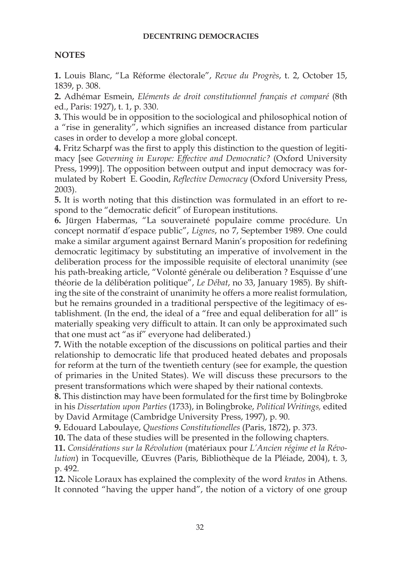### **DECENTRING DEMOCRACIES**

### **NOTES**

**1.** Louis Blanc, "La Réforme électorale", *Revue du Progrès*, t. 2, October 15, 1839, p. 308.

**2.** Adhémar Esmein, *Eléments de droit constitutionnel français et comparé* (8th ed., Paris: 1927), t. 1, p. 330.

**3.** This would be in opposition to the sociological and philosophical notion of a "rise in generality", which signifies an increased distance from particular cases in order to develop a more global concept.

**4.** Fritz Scharpf was the first to apply this distinction to the question of legitimacy [see *Governing in Europe: Effective and Democratic?* (Oxford University Press, 1999)]. The opposition between output and input democracy was formulated by Robert E. Goodin, *Reflective Democracy* (Oxford University Press, 2003).

**5.** It is worth noting that this distinction was formulated in an effort to respond to the "democratic deficit" of European institutions.

**6.** Jürgen Habermas, "La souveraineté populaire comme procédure. Un concept normatif d'espace public", *Lignes*, no 7, September 1989. One could make a similar argument against Bernard Manin's proposition for redefining democratic legitimacy by substituting an imperative of involvement in the deliberation process for the impossible requisite of electoral unanimity (see his path-breaking article, "Volonté générale ou deliberation ? Esquisse d'une théorie de la délibération politique", *Le Débat*, no 33, January 1985). By shifting the site of the constraint of unanimity he offers a more realist formulation, but he remains grounded in a traditional perspective of the legitimacy of establishment. (In the end, the ideal of a "free and equal deliberation for all" is materially speaking very difficult to attain. It can only be approximated such that one must act "as if" everyone had deliberated.)

**7.** With the notable exception of the discussions on political parties and their relationship to democratic life that produced heated debates and proposals for reform at the turn of the twentieth century (see for example, the question of primaries in the United States). We will discuss these precursors to the present transformations which were shaped by their national contexts.

**8.** This distinction may have been formulated for the first time by Bolingbroke in his *Dissertation upon Parties* (1733), in Bolingbroke, *Political Writings,* edited by David Armitage (Cambridge University Press, 1997), p. 90.

**9.** Edouard Laboulaye, *Questions Constitutionelles* (Paris, 1872), p. 373.

**10.** The data of these studies will be presented in the following chapters.

**11.** *Considérations sur la Révolution* (matériaux pour *L'Ancien régime et la Révolution*) in Tocqueville, Œuvres (Paris, Bibliothèque de la Pléiade, 2004), t. 3, p. 492.

**12.** Nicole Loraux has explained the complexity of the word *kratos* in Athens. It connoted "having the upper hand", the notion of a victory of one group